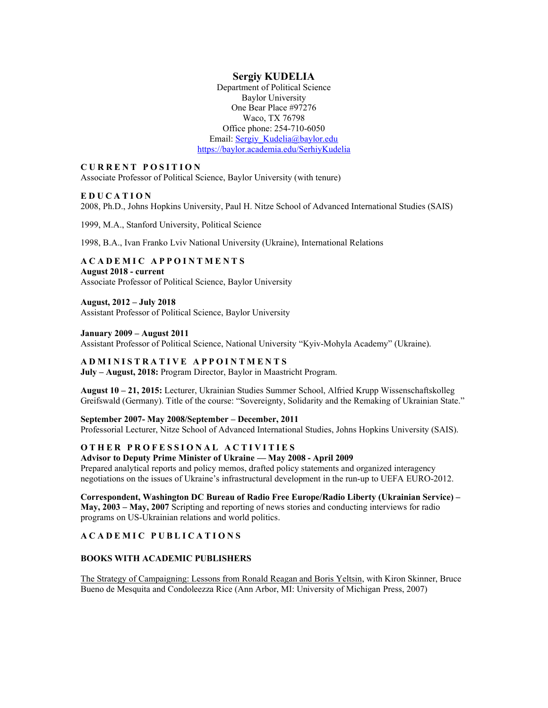# **Sergiy KUDELIA**

Department of Political Science Baylor University One Bear Place #97276 Waco, TX 76798 Office phone: 254-710-6050 Email: [Sergiy\\_Kudelia@baylor.edu](mailto:Sergiy_Kudelia@baylor.edu) <https://baylor.academia.edu/SerhiyKudelia>

## **CURRENT POSITION**

Associate Professor of Political Science, Baylor University (with tenure)

## **EDUCATION**

2008, Ph.D., Johns Hopkins University, Paul H. Nitze School of Advanced International Studies (SAIS)

1999, M.A., Stanford University, Political Science

1998, B.A., Ivan Franko Lviv National University (Ukraine), International Relations

## **ACADEMIC APPOINTMENTS August 2018 - current** Associate Professor of Political Science, Baylor University

### **August, 2012 – July 2018**

Assistant Professor of Political Science, Baylor University

### **January 2009 – August 2011**

Assistant Professor of Political Science, National University "Kyiv-Mohyla Academy" (Ukraine).

## **ADMINISTRATIVE APPOINTMENTS**

**July – August, 2018:** Program Director, Baylor in Maastricht Program.

**August 10 – 21, 2015:** Lecturer, Ukrainian Studies Summer School, Alfried Krupp Wissenschaftskolleg Greifswald (Germany). Title of the course: "Sovereignty, Solidarity and the Remaking of Ukrainian State."

### **September 2007- May 2008/September – December, 2011**

Professorial Lecturer, Nitze School of Advanced International Studies, Johns Hopkins University (SAIS).

## **OTHER PROFESSIONAL ACTIVITIES**

### **Advisor to Deputy Prime Minister of Ukraine — May 2008 - April 2009**

Prepared analytical reports and policy memos, drafted policy statements and organized interagency negotiations on the issues of Ukraine's infrastructural development in the run-up to UEFA EURO-2012.

**Correspondent, Washington DC Bureau of Radio Free Europe/Radio Liberty (Ukrainian Service) – May, 2003 – May, 2007** Scripting and reporting of news stories and conducting interviews for radio programs on US-Ukrainian relations and world politics.

### **ACADEMIC PUBLICATIONS**

## **BOOKS WITH ACADEMIC PUBLISHERS**

The Strategy of Campaigning: Lessons from Ronald Reagan and Boris Yeltsin, with Kiron Skinner, Bruce Bueno de Mesquita and Condoleezza Rice (Ann Arbor, MI: University of Michigan Press, 2007)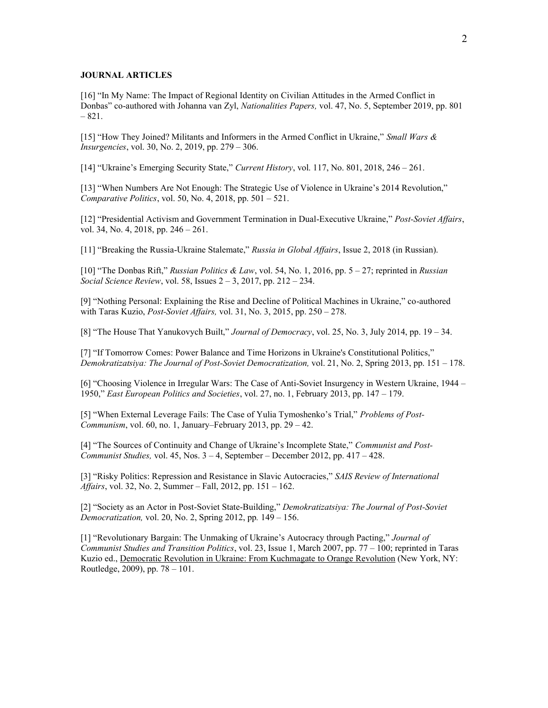#### **JOURNAL ARTICLES**

[16] "In My Name: The Impact of Regional Identity on Civilian Attitudes in the Armed Conflict in Donbas" co-authored with Johanna van Zyl, *Nationalities Papers,* vol. 47, No. 5, September 2019, pp. 801 – 821.

[15] "How They Joined? Militants and Informers in the Armed Conflict in Ukraine," *Small Wars & Insurgencies*, vol. 30, No. 2, 2019, pp. 279 – 306.

[14] "Ukraine's Emerging Security State," *Current History*, vol. 117, No. 801, 2018, 246 – 261.

[13] "When Numbers Are Not Enough: The Strategic Use of Violence in Ukraine's 2014 Revolution," *Comparative Politics*, vol. 50, No. 4, 2018, pp. 501 – 521.

[12] "Presidential Activism and Government Termination in Dual-Executive Ukraine," *Post-Soviet Affairs*, vol. 34, No. 4, 2018, pp. 246 – 261.

[11] "Breaking the Russia-Ukraine Stalemate," *Russia in Global Affairs*, Issue 2, 2018 (in Russian).

[10] "The Donbas Rift," *Russian Politics & Law*, vol. 54, No. 1, 2016, pp. 5 – 27; reprinted in *Russian Social Science Review*, vol. 58, Issues 2 – 3, 2017, pp. 212 – 234.

[9] "Nothing Personal: Explaining the Rise and Decline of Political Machines in Ukraine," co-authored with Taras Kuzio, *Post-Soviet Affairs,* vol. 31, No. 3, 2015, pp. 250 – 278.

[8] "The House That Yanukovych Built," *Journal of Democracy*, vol. 25, No. 3, July 2014, pp. 19 – 34.

[7] "If Tomorrow Comes: Power Balance and Time Horizons in Ukraine's Constitutional Politics," *Demokratizatsiya: The Journal of Post-Soviet Democratization,* vol. 21, No. 2, Spring 2013, pp. 151 – 178.

[6] "Choosing Violence in Irregular Wars: The Case of Anti-Soviet Insurgency in Western Ukraine, 1944 – 1950," *East European Politics and Societies*, vol. 27, no. 1, February 2013, pp. 147 – 179.

[5] "When External Leverage Fails: The Case of Yulia Tymoshenko's Trial," *Problems of Post-Communism*, vol. 60, no. 1, January–February 2013, pp. 29 – 42.

[4] "The Sources of Continuity and Change of Ukraine's Incomplete State," *Communist and Post-Communist Studies,* vol. 45, Nos. 3 – 4, September – December 2012, pp. 417 – 428.

[3] "Risky Politics: Repression and Resistance in Slavic Autocracies," *SAIS Review of International Affairs*, vol. 32, No. 2, Summer – Fall, 2012, pp. 151 – 162.

[2] "Society as an Actor in Post-Soviet State-Building," *Demokratizatsiya: The Journal of Post-Soviet Democratization,* vol. 20, No. 2, Spring 2012, pp*.* 149 – 156.

[1] "Revolutionary Bargain: The Unmaking of Ukraine's Autocracy through Pacting," *Journal of Communist Studies and Transition Politics*, vol. 23, Issue 1, March 2007, pp. 77 – 100; reprinted in Taras Kuzio ed., Democratic Revolution in Ukraine: From Kuchmagate to Orange Revolution (New York, NY: Routledge, 2009), pp. 78 – 101.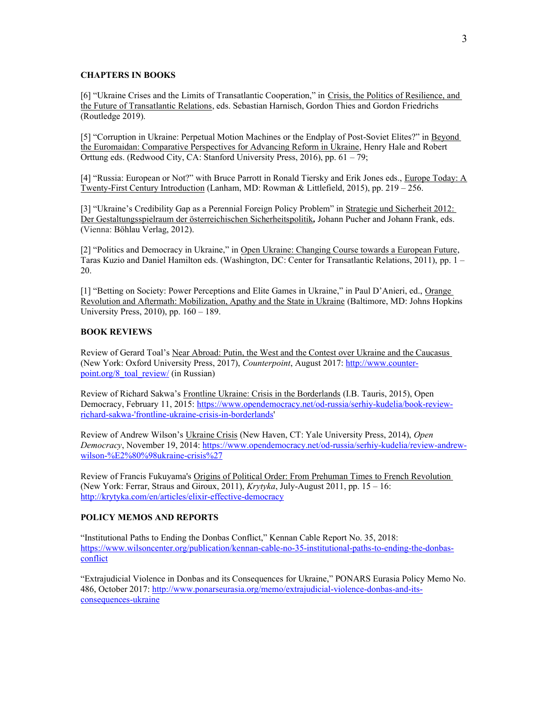#### **CHAPTERS IN BOOKS**

[6] "Ukraine Crises and the Limits of Transatlantic Cooperation," in Crisis, the Politics of Resilience, and the Future of Transatlantic Relations, eds. Sebastian Harnisch, Gordon Thies and Gordon Friedrichs (Routledge 2019).

[5] "Corruption in Ukraine: Perpetual Motion Machines or the Endplay of Post-Soviet Elites?" in Beyond the Euromaidan: Comparative Perspectives for Advancing Reform in Ukraine, Henry Hale and Robert Orttung eds. (Redwood City, CA: Stanford University Press, 2016), pp. 61 – 79;

[4] "Russia: European or Not?" with Bruce Parrott in Ronald Tiersky and Erik Jones eds., Europe Today: A Twenty-First Century Introduction (Lanham, MD: Rowman & Littlefield, 2015), pp. 219 – 256.

[3] "Ukraine's Credibility Gap as a Perennial Foreign Policy Problem" in Strategie und Sicherheit 2012: Der Gestaltungsspielraum der österreichischen Sicherheitspolitik*,* Johann Pucher and Johann Frank, eds. (Vienna: Böhlau Verlag, 2012).

[2] "Politics and Democracy in Ukraine," in Open Ukraine: Changing Course towards a European Future, Taras Kuzio and Daniel Hamilton eds. (Washington, DC: Center for Transatlantic Relations, 2011), pp. 1 – 20.

[1] "Betting on Society: Power Perceptions and Elite Games in Ukraine," in Paul D'Anieri, ed., Orange Revolution and Aftermath: Mobilization, Apathy and the State in Ukraine (Baltimore, MD: Johns Hopkins University Press, 2010), pp. 160 – 189.

#### **BOOK REVIEWS**

Review of Gerard Toal's Near Abroad: Putin, the West and the Contest over Ukraine and the Caucasus (New York: Oxford University Press, 2017), *Counterpoint*, August 2017: [http://www.counter](http://www.counter-point.org/8_toal_review/)[point.org/8\\_toal\\_review/](http://www.counter-point.org/8_toal_review/) (in Russian)

Review of Richard Sakwa's Frontline Ukraine: Crisis in the Borderlands (I.B. Tauris, 2015), Open Democracy, February 11, 2015: [https://www.opendemocracy.net/od-russia/serhiy-kudelia/book-review](https://www.opendemocracy.net/od-russia/serhiy-kudelia/book-review-richard-sakwa-)[richard-sakwa-'frontline-ukraine-crisis-in-borderlands'](https://www.opendemocracy.net/od-russia/serhiy-kudelia/book-review-richard-sakwa-) 

Review of Andrew Wilson's Ukraine Crisis (New Haven, CT: Yale University Press, 2014), *Open Democracy*, November 19, 2014: [https://www.opendemocracy.net/od-russia/serhiy-kudelia/review-andrew](https://www.opendemocracy.net/od-russia/serhiy-kudelia/review-andrew-wilson-%E2%80%98ukraine-crisis%27)[wilson-%E2%80%98ukraine-crisis%27](https://www.opendemocracy.net/od-russia/serhiy-kudelia/review-andrew-wilson-%E2%80%98ukraine-crisis%27)

Review of Francis Fukuyama's Origins of Political Order: From Prehuman Times to French Revolution (New York: Ferrar, Straus and Giroux, 2011), *Krytyka*, July-August 2011, pp. 15 – 16: <http://krytyka.com/en/articles/elixir-effective-democracy>

## **POLICY MEMOS AND REPORTS**

"Institutional Paths to Ending the Donbas Conflict," Kennan Cable Report No. 35, 2018: [https://www.wilsoncenter.org/publication/kennan-cable-no-35-institutional-paths-to-ending-the-donbas](https://www.wilsoncenter.org/publication/kennan-cable-no-35-institutional-paths-to-ending-the-donbas-conflict)[conflict](https://www.wilsoncenter.org/publication/kennan-cable-no-35-institutional-paths-to-ending-the-donbas-conflict)

"Extrajudicial Violence in Donbas and its Consequences for Ukraine," PONARS Eurasia Policy Memo No. 486, October 2017: [http://www.ponarseurasia.org/memo/extrajudicial-violence-donbas-and-its](http://www.ponarseurasia.org/memo/extrajudicial-violence-donbas-and-its-consequences-ukraine)[consequences-ukraine](http://www.ponarseurasia.org/memo/extrajudicial-violence-donbas-and-its-consequences-ukraine)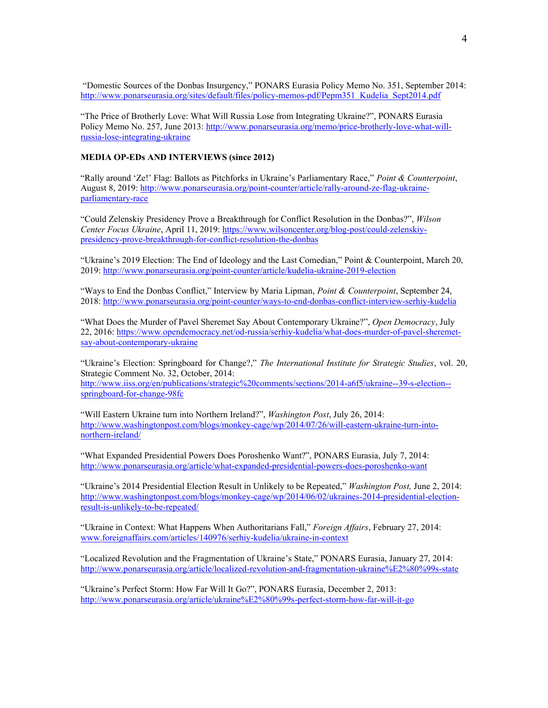"Domestic Sources of the Donbas Insurgency," PONARS Eurasia Policy Memo No. 351, September 2014: [http://www.ponarseurasia.org/sites/default/files/policy-memos-pdf/Pepm351\\_Kudelia\\_Sept2014.pdf](http://www.ponarseurasia.org/sites/default/files/policy-memos-pdf/Pepm351_Kudelia_Sept2014.pdf)

"The Price of Brotherly Love: What Will Russia Lose from Integrating Ukraine?", PONARS Eurasia Policy Memo No. 257, June 2013: [http://www.ponarseurasia.org/memo/price-brotherly-love-what-will](http://www.ponarseurasia.org/memo/price-brotherly-love-what-will-russia-lose-integrating-ukraine)[russia-lose-integrating-ukraine](http://www.ponarseurasia.org/memo/price-brotherly-love-what-will-russia-lose-integrating-ukraine)

## **MEDIA OP-EDs AND INTERVIEWS (since 2012)**

"Rally around 'Ze!' Flag: Ballots as Pitchforks in Ukraine's Parliamentary Race," *Point & Counterpoint*, August 8, 2019[: http://www.ponarseurasia.org/point-counter/article/rally-around-ze-flag-ukraine](http://www.ponarseurasia.org/point-counter/article/rally-around-ze-flag-ukraine-parliamentary-race)[parliamentary-race](http://www.ponarseurasia.org/point-counter/article/rally-around-ze-flag-ukraine-parliamentary-race)

"Could Zelenskiy Presidency Prove a Breakthrough for Conflict Resolution in the Donbas?", *Wilson Center Focus Ukraine*, April 11, 2019[: https://www.wilsoncenter.org/blog-post/could-zelenskiy](https://www.wilsoncenter.org/blog-post/could-zelenskiy-presidency-prove-breakthrough-for-conflict-resolution-the-donbas)[presidency-prove-breakthrough-for-conflict-resolution-the-donbas](https://www.wilsoncenter.org/blog-post/could-zelenskiy-presidency-prove-breakthrough-for-conflict-resolution-the-donbas)

"Ukraine's 2019 Election: The End of Ideology and the Last Comedian," Point & Counterpoint, March 20, 2019:<http://www.ponarseurasia.org/point-counter/article/kudelia-ukraine-2019-election>

"Ways to End the Donbas Conflict," Interview by Maria Lipman, *Point & Counterpoint*, September 24, 2018:<http://www.ponarseurasia.org/point-counter/ways-to-end-donbas-conflict-interview-serhiy-kudelia>

"What Does the Murder of Pavel Sheremet Say About Contemporary Ukraine?", *Open Democracy*, July 22, 2016: [https://www.opendemocracy.net/od-russia/serhiy-kudelia/what-does-murder-of-pavel-sheremet](https://www.opendemocracy.net/od-russia/serhiy-kudelia/what-does-murder-of-pavel-sheremet-say-about-contemporary-ukraine)[say-about-contemporary-ukraine](https://www.opendemocracy.net/od-russia/serhiy-kudelia/what-does-murder-of-pavel-sheremet-say-about-contemporary-ukraine)

"Ukraine's Election: Springboard for Change?," *The International Institute for Strategic Studies*, vol. 20, Strategic Comment No. 32, October, 2014: [http://www.iiss.org/en/publications/strategic%20comments/sections/2014-a6f5/ukraine--39-s-election-](http://www.iiss.org/en/publications/strategic%20comments/sections/2014-a6f5/ukraine--39-s-election--springboard-for-change-98fc) [springboard-for-change-98fc](http://www.iiss.org/en/publications/strategic%20comments/sections/2014-a6f5/ukraine--39-s-election--springboard-for-change-98fc) 

"Will Eastern Ukraine turn into Northern Ireland?", *Washington Post*, July 26, 2014: [http://www.washingtonpost.com/blogs/monkey-cage/wp/2014/07/26/will-eastern-ukraine-turn-into](http://www.washingtonpost.com/blogs/monkey-cage/wp/2014/07/26/will-eastern-ukraine-turn-into-northern-ireland/)[northern-ireland/](http://www.washingtonpost.com/blogs/monkey-cage/wp/2014/07/26/will-eastern-ukraine-turn-into-northern-ireland/) 

"What Expanded Presidential Powers Does Poroshenko Want?", PONARS Eurasia, July 7, 2014: <http://www.ponarseurasia.org/article/what-expanded-presidential-powers-does-poroshenko-want>

"Ukraine's 2014 Presidential Election Result in Unlikely to be Repeated," *Washington Post,* June 2, 2014: [http://www.washingtonpost.com/blogs/monkey-cage/wp/2014/06/02/ukraines-2014-presidential-election](http://www.washingtonpost.com/blogs/monkey-cage/wp/2014/06/02/ukraines-2014-presidential-election-result-is-unlikely-to-be-repeated/)[result-is-unlikely-to-be-repeated/](http://www.washingtonpost.com/blogs/monkey-cage/wp/2014/06/02/ukraines-2014-presidential-election-result-is-unlikely-to-be-repeated/)

"Ukraine in Context: What Happens When Authoritarians Fall," *Foreign Affairs*, February 27, 2014: [www.foreignaffairs.com/articles/140976/serhiy-kudelia/ukraine-in-context](http://www.foreignaffairs.com/articles/140976/serhiy-kudelia/ukraine-in-context)

"Localized Revolution and the Fragmentation of Ukraine's State," PONARS Eurasia, January 27, 2014: <http://www.ponarseurasia.org/article/localized-revolution-and-fragmentation-ukraine%E2%80%99s-state>

"Ukraine's Perfect Storm: How Far Will It Go?", PONARS Eurasia, December 2, 2013: <http://www.ponarseurasia.org/article/ukraine%E2%80%99s-perfect-storm-how-far-will-it-go>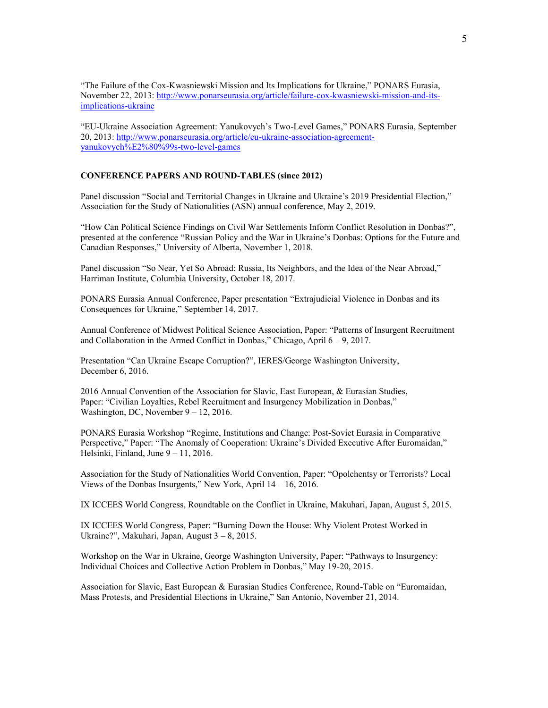"The Failure of the Cox-Kwasniewski Mission and Its Implications for Ukraine," PONARS Eurasia, November 22, 2013: [http://www.ponarseurasia.org/article/failure-cox-kwasniewski-mission-and-its](http://www.ponarseurasia.org/article/failure-cox-kwasniewski-mission-and-its-implications-ukraine)[implications-ukraine](http://www.ponarseurasia.org/article/failure-cox-kwasniewski-mission-and-its-implications-ukraine)

"EU-Ukraine Association Agreement: Yanukovych's Two-Level Games," PONARS Eurasia, September 20, 2013: [http://www.ponarseurasia.org/article/eu-ukraine-association-agreement](http://www.ponarseurasia.org/article/eu-ukraine-association-agreement-yanukovych%E2%80%99s-two-level-games)[yanukovych%E2%80%99s-two-level-games](http://www.ponarseurasia.org/article/eu-ukraine-association-agreement-yanukovych%E2%80%99s-two-level-games)

#### **CONFERENCE PAPERS AND ROUND-TABLES (since 2012)**

Panel discussion "Social and Territorial Changes in Ukraine and Ukraine's 2019 Presidential Election," Association for the Study of Nationalities (ASN) annual conference, May 2, 2019.

"How Can Political Science Findings on Civil War Settlements Inform Conflict Resolution in Donbas?", presented at the conference "Russian Policy and the War in Ukraine's Donbas: Options for the Future and Canadian Responses," University of Alberta, November 1, 2018.

Panel discussion "So Near, Yet So Abroad: Russia, Its Neighbors, and the Idea of the Near Abroad," Harriman Institute, Columbia University, October 18, 2017.

PONARS Eurasia Annual Conference, Paper presentation "Extrajudicial Violence in Donbas and its Consequences for Ukraine," September 14, 2017.

Annual Conference of Midwest Political Science Association, Paper: "Patterns of Insurgent Recruitment and Collaboration in the Armed Conflict in Donbas," Chicago, April  $6 - 9$ , 2017.

Presentation "Can Ukraine Escape Corruption?", IERES/George Washington University, December 6, 2016.

2016 Annual Convention of the Association for Slavic, East European, & Eurasian Studies, Paper: "Civilian Loyalties, Rebel Recruitment and Insurgency Mobilization in Donbas," Washington, DC, November 9 – 12, 2016.

PONARS Eurasia Workshop "Regime, Institutions and Change: Post-Soviet Eurasia in Comparative Perspective," Paper: "The Anomaly of Cooperation: Ukraine's Divided Executive After Euromaidan," Helsinki, Finland, June 9 – 11, 2016.

Association for the Study of Nationalities World Convention, Paper: "Opolchentsy or Terrorists? Local Views of the Donbas Insurgents," New York, April 14 – 16, 2016.

IX ICCEES World Congress, Roundtable on the Conflict in Ukraine, Makuhari, Japan, August 5, 2015.

IX ICCEES World Congress, Paper: "Burning Down the House: Why Violent Protest Worked in Ukraine?", Makuhari, Japan, August 3 – 8, 2015.

Workshop on the War in Ukraine, George Washington University, Paper: "Pathways to Insurgency: Individual Choices and Collective Action Problem in Donbas," May 19-20, 2015.

Association for Slavic, East European & Eurasian Studies Conference, Round-Table on "Euromaidan, Mass Protests, and Presidential Elections in Ukraine," San Antonio, November 21, 2014.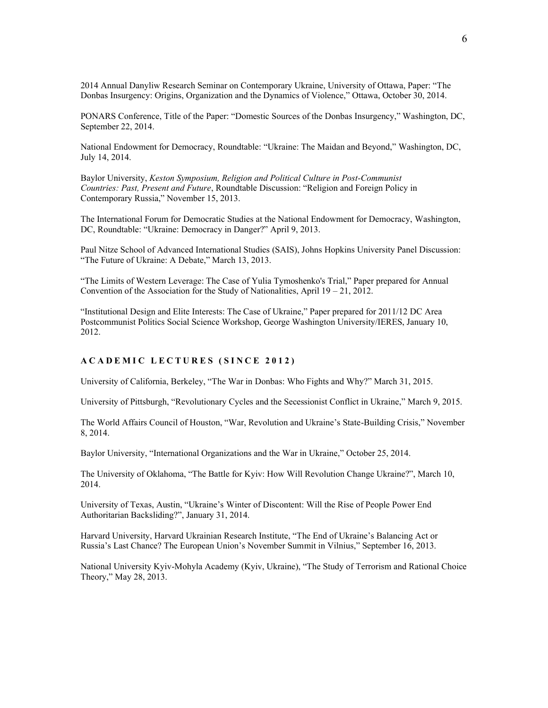2014 Annual Danyliw Research Seminar on Contemporary Ukraine, University of Ottawa, Paper: "The Donbas Insurgency: Origins, Organization and the Dynamics of Violence," Ottawa, October 30, 2014.

PONARS Conference, Title of the Paper: "Domestic Sources of the Donbas Insurgency," Washington, DC, September 22, 2014.

National Endowment for Democracy, Roundtable: "Ukraine: The Maidan and Beyond," Washington, DC, July 14, 2014.

Baylor University, *Keston Symposium, Religion and Political Culture in Post-Communist Countries: Past, Present and Future*, Roundtable Discussion: "Religion and Foreign Policy in Contemporary Russia," November 15, 2013.

The International Forum for Democratic Studies at the National Endowment for Democracy, Washington, DC, Roundtable: "Ukraine: Democracy in Danger?" April 9, 2013.

Paul Nitze School of Advanced International Studies (SAIS), Johns Hopkins University Panel Discussion: "The Future of Ukraine: A Debate," March 13, 2013.

"The Limits of Western Leverage: The Case of Yulia Tymoshenko's Trial," Paper prepared for Annual Convention of the Association for the Study of Nationalities, April  $19 - 21$ , 2012.

"Institutional Design and Elite Interests: The Case of Ukraine," Paper prepared for 2011/12 DC Area Postcommunist Politics Social Science Workshop, George Washington University/IERES, January 10, 2012.

## **ACADEMIC LECTURES ( SINCE 2012 )**

University of California, Berkeley, "The War in Donbas: Who Fights and Why?" March 31, 2015.

University of Pittsburgh, "Revolutionary Cycles and the Secessionist Conflict in Ukraine," March 9, 2015.

The World Affairs Council of Houston, "War, Revolution and Ukraine's State-Building Crisis," November 8, 2014.

Baylor University, "International Organizations and the War in Ukraine," October 25, 2014.

The University of Oklahoma, "The Battle for Kyiv: How Will Revolution Change Ukraine?", March 10, 2014.

University of Texas, Austin, "Ukraine's Winter of Discontent: Will the Rise of People Power End Authoritarian Backsliding?", January 31, 2014.

Harvard University, Harvard Ukrainian Research Institute, "The End of Ukraine's Balancing Act or Russia's Last Chance? The European Union's November Summit in Vilnius," September 16, 2013.

National University Kyiv-Mohyla Academy (Kyiv, Ukraine), "The Study of Terrorism and Rational Choice Theory," May 28, 2013.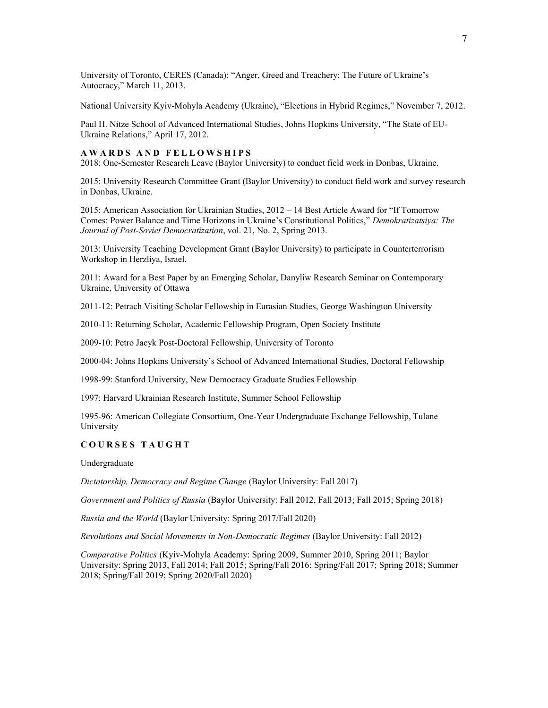University of Toronto, CERES (Canada): "Anger, Greed and Treachery: The Future of Ukraine's Autocracy," March 11, 2013.

National University Kyiv-Mohyla Academy (Ukraine), "Elections in Hybrid Regimes," November 7, 2012.

Paul H. Nitze School of Advanced International Studies, Johns Hopkins University, "The State of EU-Ukraine Relations," April 17, 2012.

## **AWARDS AND FELLOWSHIPS**

2018: One-Semester Research Leave (Baylor University) to conduct field work in Donbas, Ukraine.

2015: University Research Committee Grant (Baylor University) to conduct field work and survey research in Donbas, Ukraine.

2015: American Association for Ukrainian Studies, 2012 – 14 Best Article Award for "If Tomorrow Comes: Power Balance and Time Horizons in Ukraine's Constitutional Politics," *Demokratizatsiya: The Journal of Post-Soviet Democratization*, vol. 21, No. 2, Spring 2013.

2013: University Teaching Development Grant (Baylor University) to participate in Counterterrorism Workshop in Herzliya, Israel.

2011: Award for a Best Paper by an Emerging Scholar, Danyliw Research Seminar on Contemporary Ukraine, University of Ottawa

2011-12: Petrach Visiting Scholar Fellowship in Eurasian Studies, George Washington University

2010-11: Returning Scholar, Academic Fellowship Program, Open Society Institute

2009-10: Petro Jacyk Post-Doctoral Fellowship, University of Toronto

2000-04: Johns Hopkins University's School of Advanced International Studies, Doctoral Fellowship

1998-99: Stanford University, New Democracy Graduate Studies Fellowship

1997: Harvard Ukrainian Research Institute, Summer School Fellowship

1995-96: American Collegiate Consortium, One-Year Undergraduate Exchange Fellowship, Tulane University

## **COURSES TAUGHT**

Undergraduate

*Dictatorship, Democracy and Regime Change* (Baylor University: Fall 2017)

*Government and Politics of Russia* (Baylor University: Fall 2012, Fall 2013; Fall 2015; Spring 2018)

*Russia and the World* (Baylor University: Spring 2017/Fall 2020)

*Revolutions and Social Movements in Non-Democratic Regimes* (Baylor University: Fall 2012)

*Comparative Politics* (Kyiv-Mohyla Academy: Spring 2009, Summer 2010, Spring 2011; Baylor University: Spring 2013, Fall 2014; Fall 2015; Spring/Fall 2016; Spring/Fall 2017; Spring 2018; Summer 2018; Spring/Fall 2019; Spring 2020/Fall 2020)